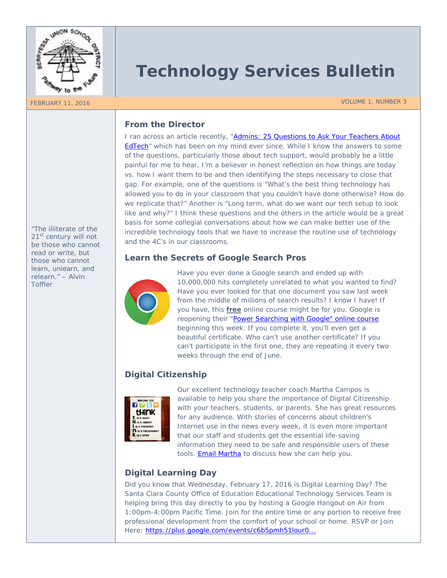

# **Technology Services Bulletin**

FEBRUARY 11, 2016 VOLUME 1, NUMBER 3

# **From the Director**

I ran across an article recently, "*[Admins: 25 Questions to Ask Your Teachers About](http://blog.chalkup.co/administrators-25-questions-to-ask-teachers-about-edtech)  [EdTech](http://blog.chalkup.co/administrators-25-questions-to-ask-teachers-about-edtech)*" which has been on my mind ever since. While I know the answers to some of the questions, particularly those about tech support, would probably be a little painful for me to hear, I'm a believer in honest reflection on how things are today vs. how I want them to be and then identifying the steps necessary to close that gap. For example, one of the questions *is "What's the best thing technology has allowed you to do in your classroom that you couldn't have done otherwise? How do we replicate that?"* Another is *"Long term, what do we want our tech setup to look like and why?"* I think these questions and the others in the article would be a great basis for some collegial conversations about how we can make better use of the incredible technology tools that we have to increase the routine use of technology and the 4C's in our classrooms.

### **Learn the Secrets of Google Search Pros**



Have you ever done a Google search and ended up with 10,000,000 hits completely unrelated to what you wanted to find? Have you ever looked for that one document you saw last week from the middle of millions of search results? I know I have! If you have, this **free** online course might be for you. Google is reopening their *["Power Searching with Google"](http://www.powersearchingwithgoogle.com/)* online course beginning this week. If you complete it, you'll even get a beautiful certificate. Who can't use another certificate? If you can't participate in the first one, they are repeating it every two weeks through the end of June.

# **Digital Citizenship**



Our excellent technology teacher coach Martha Campos is available to help you share the importance of Digital Citizenship with your teachers, students, or parents. She has great resources for any audience. With stories of concerns about children's Internet use in the news every week, it is even more important that our staff and students get the essential life-saving information they need to be safe and responsible users of these tools. **Email Martha** to discuss how she can help you.

# **Digital Learning Day**

Did you know that Wednesday, February 17, 2016 is Digital Learning Day? The Santa Clara County Office of Education Educational Technology Services Team is helping bring this day directly to you by hosting a Google Hangout on Air from 1:00pm-4:00pm Pacific Time. Join for the entire time or any portion to receive free professional development from the comfort of your school or home. RSVP or Join Here: [https://plus.google.com/events/c6b5pmh51lour0...](https://plus.google.com/events/c6b5pmh51lour00ue9io39l1v7o)

*"The illiterate of the 21st century will not be those who cannot read or write, but those who cannot learn, unlearn, and relearn." – Alvin Toffler*